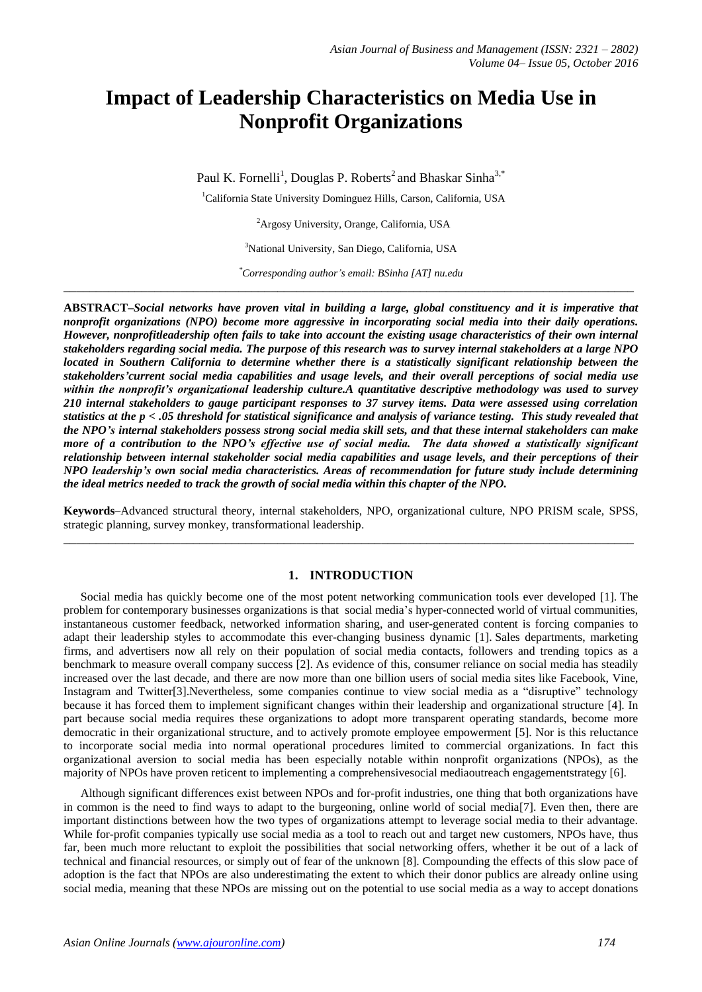# **Impact of Leadership Characteristics on Media Use in Nonprofit Organizations**

Paul K. Fornelli<sup>1</sup>, Douglas P. Roberts<sup>2</sup> and Bhaskar Sinha<sup>3,\*</sup>

<sup>1</sup>California State University Dominguez Hills, Carson, California, USA

<sup>2</sup>Argosy University, Orange, California, USA

<sup>3</sup>National University, San Diego, California, USA

*\*Corresponding author's email: BSinha [AT] nu.edu* **\_\_\_\_\_\_\_\_\_\_\_\_\_\_\_\_\_\_\_\_\_\_\_\_\_\_\_\_\_\_\_\_\_\_\_\_\_\_\_\_\_\_\_\_\_\_\_\_\_\_\_\_\_\_\_\_\_\_\_\_\_\_\_\_\_\_\_\_\_\_\_\_\_\_\_\_\_\_\_\_\_\_\_\_\_\_\_\_**

**ABSTRACT***–Social networks have proven vital in building a large, global constituency and it is imperative that nonprofit organizations (NPO) become more aggressive in incorporating social media into their daily operations. However, nonprofitleadership often fails to take into account the existing usage characteristics of their own internal stakeholders regarding social media. The purpose of this research was to survey internal stakeholders at a large NPO located in Southern California to determine whether there is a statistically significant relationship between the stakeholders'current social media capabilities and usage levels, and their overall perceptions of social media use within the nonprofit's organizational leadership culture.A quantitative descriptive methodology was used to survey 210 internal stakeholders to gauge participant responses to 37 survey items. Data were assessed using correlation statistics at the p < .05 threshold for statistical significance and analysis of variance testing. This study revealed that the NPO's internal stakeholders possess strong social media skill sets, and that these internal stakeholders can make more of a contribution to the NPO's effective use of social media. The data showed a statistically significant relationship between internal stakeholder social media capabilities and usage levels, and their perceptions of their NPO leadership's own social media characteristics. Areas of recommendation for future study include determining the ideal metrics needed to track the growth of social media within this chapter of the NPO.* 

**Keywords**–Advanced structural theory, internal stakeholders, NPO, organizational culture, NPO PRISM scale, SPSS, strategic planning, survey monkey, transformational leadership. **\_\_\_\_\_\_\_\_\_\_\_\_\_\_\_\_\_\_\_\_\_\_\_\_\_\_\_\_\_\_\_\_\_\_\_\_\_\_\_\_\_\_\_\_\_\_\_\_\_\_\_\_\_\_\_\_\_\_\_\_\_\_\_\_\_\_\_\_\_\_\_\_\_\_\_\_\_\_\_\_\_\_\_\_\_\_\_\_**

## **1. INTRODUCTION**

Social media has quickly become one of the most potent networking communication tools ever developed [1]. The problem for contemporary businesses organizations is that social media's hyper-connected world of virtual communities, instantaneous customer feedback, networked information sharing, and user-generated content is forcing companies to adapt their leadership styles to accommodate this ever-changing business dynamic [1]. Sales departments, marketing firms, and advertisers now all rely on their population of social media contacts, followers and trending topics as a benchmark to measure overall company success [2]. As evidence of this, consumer reliance on social media has steadily increased over the last decade, and there are now more than one billion users of social media sites like Facebook, Vine, Instagram and Twitter[3].Nevertheless, some companies continue to view social media as a "disruptive" technology because it has forced them to implement significant changes within their leadership and organizational structure [4]. In part because social media requires these organizations to adopt more transparent operating standards, become more democratic in their organizational structure, and to actively promote employee empowerment [5]. Nor is this reluctance to incorporate social media into normal operational procedures limited to commercial organizations. In fact this organizational aversion to social media has been especially notable within nonprofit organizations (NPOs), as the majority of NPOs have proven reticent to implementing a comprehensivesocial mediaoutreach engagementstrategy [6].

Although significant differences exist between NPOs and for-profit industries, one thing that both organizations have in common is the need to find ways to adapt to the burgeoning, online world of social media[7]. Even then, there are important distinctions between how the two types of organizations attempt to leverage social media to their advantage. While for-profit companies typically use social media as a tool to reach out and target new customers, NPOs have, thus far, been much more reluctant to exploit the possibilities that social networking offers, whether it be out of a lack of technical and financial resources, or simply out of fear of the unknown [8]. Compounding the effects of this slow pace of adoption is the fact that NPOs are also underestimating the extent to which their donor publics are already online using social media, meaning that these NPOs are missing out on the potential to use social media as a way to accept donations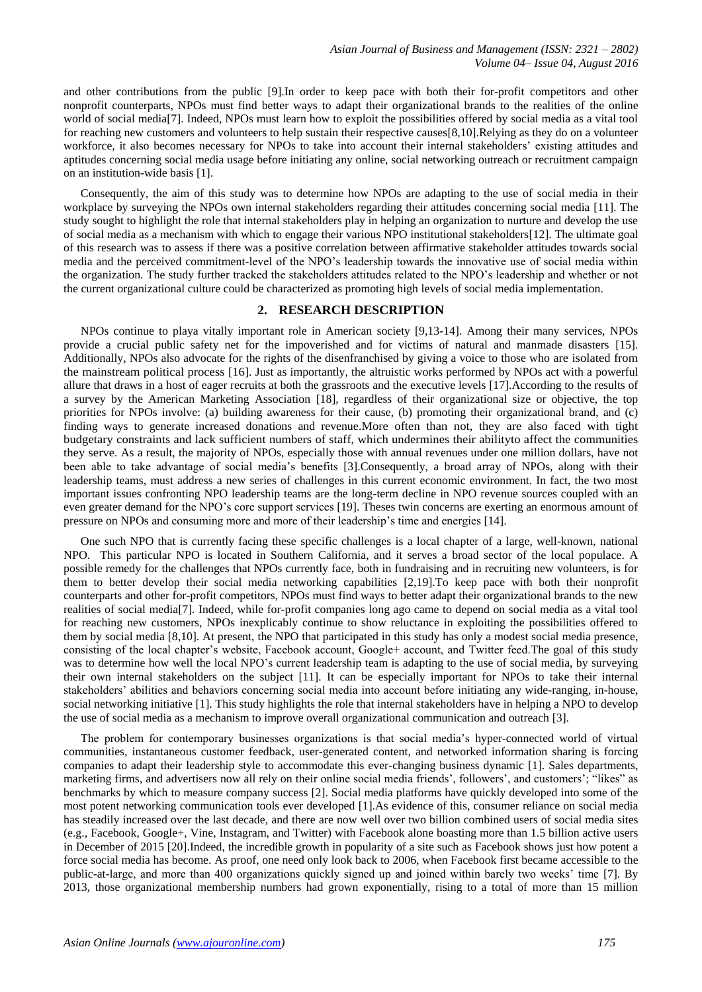and other contributions from the public [9].In order to keep pace with both their for-profit competitors and other nonprofit counterparts, NPOs must find better ways to adapt their organizational brands to the realities of the online world of social media[7]. Indeed, NPOs must learn how to exploit the possibilities offered by social media as a vital tool for reaching new customers and volunteers to help sustain their respective causes[8,10].Relying as they do on a volunteer workforce, it also becomes necessary for NPOs to take into account their internal stakeholders' existing attitudes and aptitudes concerning social media usage before initiating any online, social networking outreach or recruitment campaign on an institution-wide basis [1].

Consequently, the aim of this study was to determine how NPOs are adapting to the use of social media in their workplace by surveying the NPOs own internal stakeholders regarding their attitudes concerning social media [11]. The study sought to highlight the role that internal stakeholders play in helping an organization to nurture and develop the use of social media as a mechanism with which to engage their various NPO institutional stakeholders[12]. The ultimate goal of this research was to assess if there was a positive correlation between affirmative stakeholder attitudes towards social media and the perceived commitment-level of the NPO's leadership towards the innovative use of social media within the organization. The study further tracked the stakeholders attitudes related to the NPO's leadership and whether or not the current organizational culture could be characterized as promoting high levels of social media implementation.

#### **2. RESEARCH DESCRIPTION**

NPOs continue to playa vitally important role in American society [9,13-14]. Among their many services, NPOs provide a crucial public safety net for the impoverished and for victims of natural and manmade disasters [15]. Additionally, NPOs also advocate for the rights of the disenfranchised by giving a voice to those who are isolated from the mainstream political process [16]. Just as importantly, the altruistic works performed by NPOs act with a powerful allure that draws in a host of eager recruits at both the grassroots and the executive levels [17].According to the results of a survey by the American Marketing Association [18], regardless of their organizational size or objective, the top priorities for NPOs involve: (a) building awareness for their cause, (b) promoting their organizational brand, and (c) finding ways to generate increased donations and revenue.More often than not, they are also faced with tight budgetary constraints and lack sufficient numbers of staff, which undermines their abilityto affect the communities they serve. As a result, the majority of NPOs, especially those with annual revenues under one million dollars, have not been able to take advantage of social media's benefits [3].Consequently, a broad array of NPOs, along with their leadership teams, must address a new series of challenges in this current economic environment. In fact, the two most important issues confronting NPO leadership teams are the long-term decline in NPO revenue sources coupled with an even greater demand for the NPO's core support services [19]. Theses twin concerns are exerting an enormous amount of pressure on NPOs and consuming more and more of their leadership's time and energies [14].

One such NPO that is currently facing these specific challenges is a local chapter of a large, well-known, national NPO. This particular NPO is located in Southern California, and it serves a broad sector of the local populace. A possible remedy for the challenges that NPOs currently face, both in fundraising and in recruiting new volunteers, is for them to better develop their social media networking capabilities [2,19].To keep pace with both their nonprofit counterparts and other for-profit competitors, NPOs must find ways to better adapt their organizational brands to the new realities of social media[7]. Indeed, while for-profit companies long ago came to depend on social media as a vital tool for reaching new customers, NPOs inexplicably continue to show reluctance in exploiting the possibilities offered to them by social media [8,10]. At present, the NPO that participated in this study has only a modest social media presence, consisting of the local chapter's website, Facebook account, Google+ account, and Twitter feed.The goal of this study was to determine how well the local NPO's current leadership team is adapting to the use of social media, by surveying their own internal stakeholders on the subject [11]. It can be especially important for NPOs to take their internal stakeholders' abilities and behaviors concerning social media into account before initiating any wide-ranging, in-house, social networking initiative [1]. This study highlights the role that internal stakeholders have in helping a NPO to develop the use of social media as a mechanism to improve overall organizational communication and outreach [3].

The problem for contemporary businesses organizations is that social media's hyper-connected world of virtual communities, instantaneous customer feedback, user-generated content, and networked information sharing is forcing companies to adapt their leadership style to accommodate this ever-changing business dynamic [1]. Sales departments, marketing firms, and advertisers now all rely on their online social media friends', followers', and customers'; "likes" as benchmarks by which to measure company success [2]. Social media platforms have quickly developed into some of the most potent networking communication tools ever developed [1].As evidence of this, consumer reliance on social media has steadily increased over the last decade, and there are now well over two billion combined users of social media sites (e.g., Facebook, Google+, Vine, Instagram, and Twitter) with Facebook alone boasting more than 1.5 billion active users in December of 2015 [20].Indeed, the incredible growth in popularity of a site such as Facebook shows just how potent a force social media has become. As proof, one need only look back to 2006, when Facebook first became accessible to the public-at-large, and more than 400 organizations quickly signed up and joined within barely two weeks' time [7]. By 2013, those organizational membership numbers had grown exponentially, rising to a total of more than 15 million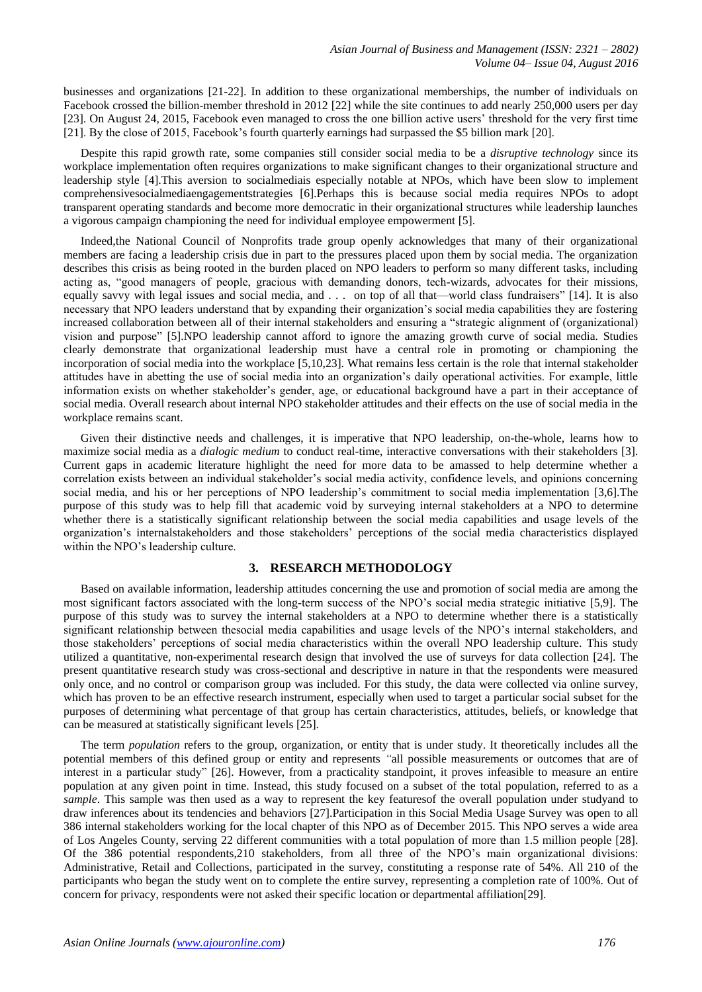businesses and organizations [21-22]. In addition to these organizational memberships, the number of individuals on Facebook crossed the billion-member threshold in 2012 [22] while the site continues to add nearly 250,000 users per day [23]. On August 24, 2015, Facebook even managed to cross the one billion active users' threshold for the very first time [21]. By the close of 2015, Facebook's fourth quarterly earnings had surpassed the \$5 billion mark [20].

Despite this rapid growth rate, some companies still consider social media to be a *disruptive technology* since its workplace implementation often requires organizations to make significant changes to their organizational structure and leadership style [4].This aversion to socialmediais especially notable at NPOs, which have been slow to implement comprehensivesocialmediaengagementstrategies [6].Perhaps this is because social media requires NPOs to adopt transparent operating standards and become more democratic in their organizational structures while leadership launches a vigorous campaign championing the need for individual employee empowerment [5].

Indeed,the National Council of Nonprofits trade group openly acknowledges that many of their organizational members are facing a leadership crisis due in part to the pressures placed upon them by social media. The organization describes this crisis as being rooted in the burden placed on NPO leaders to perform so many different tasks, including acting as, "good managers of people, gracious with demanding donors, tech-wizards, advocates for their missions, equally savvy with legal issues and social media, and . . . on top of all that—world class fundraisers" [14]. It is also necessary that NPO leaders understand that by expanding their organization's social media capabilities they are fostering increased collaboration between all of their internal stakeholders and ensuring a "strategic alignment of (organizational) vision and purpose" [5].NPO leadership cannot afford to ignore the amazing growth curve of social media. Studies clearly demonstrate that organizational leadership must have a central role in promoting or championing the incorporation of social media into the workplace [5,10,23]. What remains less certain is the role that internal stakeholder attitudes have in abetting the use of social media into an organization's daily operational activities. For example, little information exists on whether stakeholder's gender, age, or educational background have a part in their acceptance of social media. Overall research about internal NPO stakeholder attitudes and their effects on the use of social media in the workplace remains scant.

Given their distinctive needs and challenges, it is imperative that NPO leadership, on-the-whole, learns how to maximize social media as a *dialogic medium* to conduct real-time, interactive conversations with their stakeholders [3]. Current gaps in academic literature highlight the need for more data to be amassed to help determine whether a correlation exists between an individual stakeholder's social media activity, confidence levels, and opinions concerning social media, and his or her perceptions of NPO leadership's commitment to social media implementation [3,6].The purpose of this study was to help fill that academic void by surveying internal stakeholders at a NPO to determine whether there is a statistically significant relationship between the social media capabilities and usage levels of the organization's internalstakeholders and those stakeholders' perceptions of the social media characteristics displayed within the NPO's leadership culture.

#### **3. RESEARCH METHODOLOGY**

Based on available information, leadership attitudes concerning the use and promotion of social media are among the most significant factors associated with the long-term success of the NPO's social media strategic initiative [5,9]. The purpose of this study was to survey the internal stakeholders at a NPO to determine whether there is a statistically significant relationship between thesocial media capabilities and usage levels of the NPO's internal stakeholders, and those stakeholders' perceptions of social media characteristics within the overall NPO leadership culture. This study utilized a quantitative, non-experimental research design that involved the use of surveys for data collection [24]. The present quantitative research study was cross-sectional and descriptive in nature in that the respondents were measured only once, and no control or comparison group was included. For this study, the data were collected via online survey, which has proven to be an effective research instrument, especially when used to target a particular social subset for the purposes of determining what percentage of that group has certain characteristics, attitudes, beliefs, or knowledge that can be measured at statistically significant levels [25].

The term *population* refers to the group, organization, or entity that is under study. It theoretically includes all the potential members of this defined group or entity and represents *"*all possible measurements or outcomes that are of interest in a particular study" [26]. However, from a practicality standpoint, it proves infeasible to measure an entire population at any given point in time. Instead, this study focused on a subset of the total population, referred to as a *sample*. This sample was then used as a way to represent the key featuresof the overall population under studyand to draw inferences about its tendencies and behaviors [27].Participation in this Social Media Usage Survey was open to all 386 internal stakeholders working for the local chapter of this NPO as of December 2015. This NPO serves a wide area of Los Angeles County, serving 22 different communities with a total population of more than 1.5 million people [28]. Of the 386 potential respondents,210 stakeholders, from all three of the NPO's main organizational divisions: Administrative, Retail and Collections, participated in the survey, constituting a response rate of 54%. All 210 of the participants who began the study went on to complete the entire survey, representing a completion rate of 100%. Out of concern for privacy, respondents were not asked their specific location or departmental affiliation[29].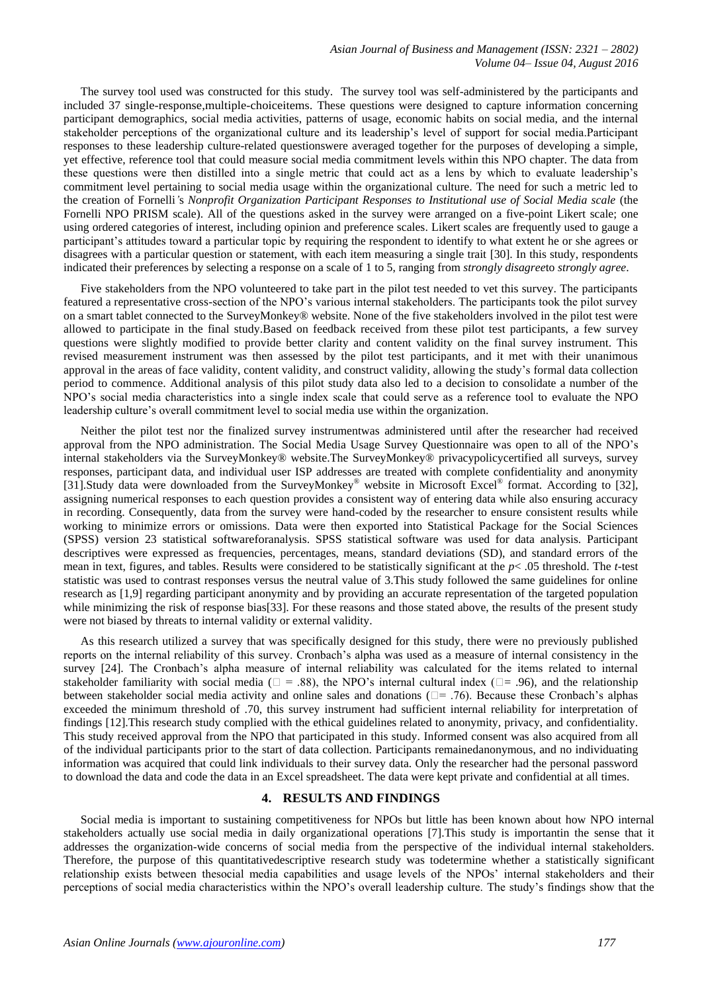The survey tool used was constructed for this study. The survey tool was self-administered by the participants and included 37 single-response,multiple-choiceitems. These questions were designed to capture information concerning participant demographics, social media activities, patterns of usage, economic habits on social media, and the internal stakeholder perceptions of the organizational culture and its leadership's level of support for social media.Participant responses to these leadership culture-related questionswere averaged together for the purposes of developing a simple, yet effective, reference tool that could measure social media commitment levels within this NPO chapter. The data from these questions were then distilled into a single metric that could act as a lens by which to evaluate leadership's commitment level pertaining to social media usage within the organizational culture. The need for such a metric led to the creation of Fornelli*'*s *Nonprofit Organization Participant Responses to Institutional use of Social Media scale* (the Fornelli NPO PRISM scale). All of the questions asked in the survey were arranged on a five-point Likert scale; one using ordered categories of interest, including opinion and preference scales. Likert scales are frequently used to gauge a participant's attitudes toward a particular topic by requiring the respondent to identify to what extent he or she agrees or disagrees with a particular question or statement, with each item measuring a single trait [30]. In this study, respondents indicated their preferences by selecting a response on a scale of 1 to 5, ranging from *strongly disagree*to *strongly agree*.

Five stakeholders from the NPO volunteered to take part in the pilot test needed to vet this survey. The participants featured a representative cross-section of the NPO's various internal stakeholders. The participants took the pilot survey on a smart tablet connected to the SurveyMonkey® website. None of the five stakeholders involved in the pilot test were allowed to participate in the final study.Based on feedback received from these pilot test participants, a few survey questions were slightly modified to provide better clarity and content validity on the final survey instrument. This revised measurement instrument was then assessed by the pilot test participants, and it met with their unanimous approval in the areas of face validity, content validity, and construct validity, allowing the study's formal data collection period to commence. Additional analysis of this pilot study data also led to a decision to consolidate a number of the NPO's social media characteristics into a single index scale that could serve as a reference tool to evaluate the NPO leadership culture's overall commitment level to social media use within the organization.

Neither the pilot test nor the finalized survey instrumentwas administered until after the researcher had received approval from the NPO administration. The Social Media Usage Survey Questionnaire was open to all of the NPO's internal stakeholders via the SurveyMonkey® website.The SurveyMonkey® privacypolicycertified all surveys, survey responses, participant data, and individual user ISP addresses are treated with complete confidentiality and anonymity [31].Study data were downloaded from the SurveyMonkey® website in Microsoft Excel® format. According to [32], assigning numerical responses to each question provides a consistent way of entering data while also ensuring accuracy in recording. Consequently, data from the survey were hand-coded by the researcher to ensure consistent results while working to minimize errors or omissions. Data were then exported into Statistical Package for the Social Sciences (SPSS) version 23 statistical softwareforanalysis. SPSS statistical software was used for data analysis. Participant descriptives were expressed as frequencies, percentages, means, standard deviations (SD), and standard errors of the mean in text, figures, and tables. Results were considered to be statistically significant at the *p*< .05 threshold. The *t*-test statistic was used to contrast responses versus the neutral value of 3.This study followed the same guidelines for online research as [1,9] regarding participant anonymity and by providing an accurate representation of the targeted population while minimizing the risk of response bias[33]. For these reasons and those stated above, the results of the present study were not biased by threats to internal validity or external validity.

As this research utilized a survey that was specifically designed for this study, there were no previously published reports on the internal reliability of this survey. Cronbach's alpha was used as a measure of internal consistency in the survey [24]. The Cronbach's alpha measure of internal reliability was calculated for the items related to internal stakeholder familiarity with social media ( $\square$  = .88), the NPO's internal cultural index ( $\square$ = .96), and the relationship between stakeholder social media activity and online sales and donations  $(\square = .76)$ . Because these Cronbach's alphas exceeded the minimum threshold of .70, this survey instrument had sufficient internal reliability for interpretation of findings [12].This research study complied with the ethical guidelines related to anonymity, privacy, and confidentiality. This study received approval from the NPO that participated in this study. Informed consent was also acquired from all of the individual participants prior to the start of data collection. Participants remainedanonymous, and no individuating information was acquired that could link individuals to their survey data. Only the researcher had the personal password to download the data and code the data in an Excel spreadsheet. The data were kept private and confidential at all times.

## **4. RESULTS AND FINDINGS**

Social media is important to sustaining competitiveness for NPOs but little has been known about how NPO internal stakeholders actually use social media in daily organizational operations [7].This study is importantin the sense that it addresses the organization-wide concerns of social media from the perspective of the individual internal stakeholders. Therefore, the purpose of this quantitativedescriptive research study was todetermine whether a statistically significant relationship exists between thesocial media capabilities and usage levels of the NPOs' internal stakeholders and their perceptions of social media characteristics within the NPO's overall leadership culture. The study's findings show that the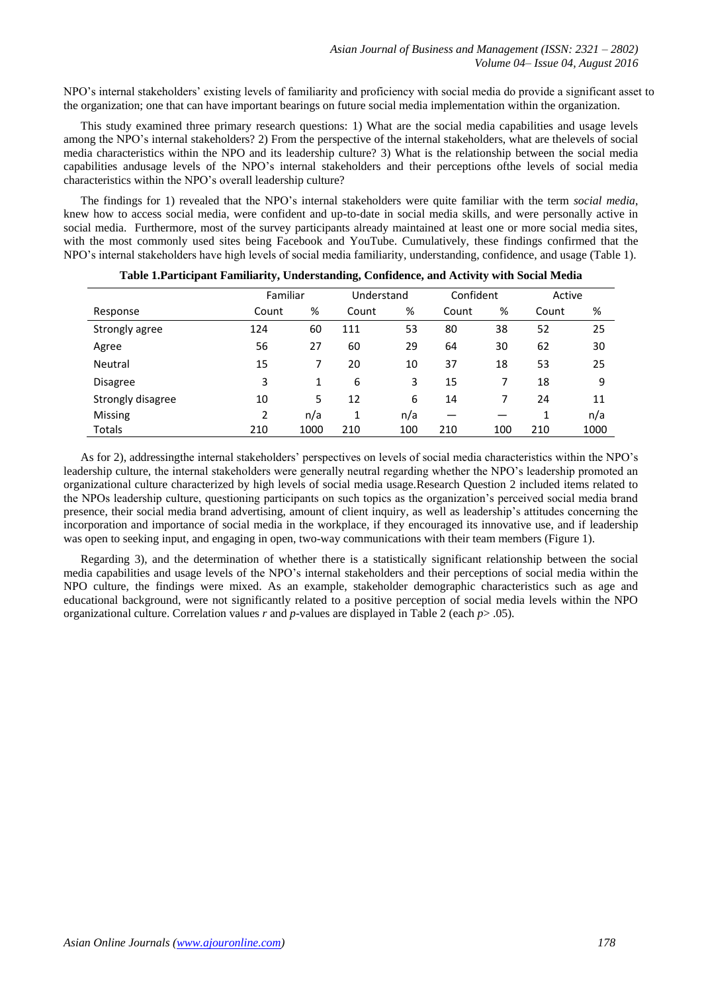NPO's internal stakeholders' existing levels of familiarity and proficiency with social media do provide a significant asset to the organization; one that can have important bearings on future social media implementation within the organization.

This study examined three primary research questions: 1) What are the social media capabilities and usage levels among the NPO's internal stakeholders? 2) From the perspective of the internal stakeholders, what are thelevels of social media characteristics within the NPO and its leadership culture? 3) What is the relationship between the social media capabilities andusage levels of the NPO's internal stakeholders and their perceptions ofthe levels of social media characteristics within the NPO's overall leadership culture?

The findings for 1) revealed that the NPO's internal stakeholders were quite familiar with the term *social media*, knew how to access social media, were confident and up-to-date in social media skills, and were personally active in social media. Furthermore, most of the survey participants already maintained at least one or more social media sites, with the most commonly used sites being Facebook and YouTube. Cumulatively, these findings confirmed that the NPO's internal stakeholders have high levels of social media familiarity, understanding, confidence, and usage (Table 1).

|                   | Familiar |      | Understand |     | Confident |     | Active |      |
|-------------------|----------|------|------------|-----|-----------|-----|--------|------|
| Response          | Count    | %    | Count      | %   | Count     | %   | Count  | %    |
| Strongly agree    | 124      | 60   | 111        | 53  | 80        | 38  | 52     | 25   |
| Agree             | 56       | 27   | 60         | 29  | 64        | 30  | 62     | 30   |
| Neutral           | 15       | 7    | 20         | 10  | 37        | 18  | 53     | 25   |
| Disagree          | 3        | 1    | 6          | 3   | 15        |     | 18     | 9    |
| Strongly disagree | 10       | 5    | 12         | 6   | 14        | 7   | 24     | 11   |
| <b>Missing</b>    | 2        | n/a  | 1          | n/a |           |     | 1      | n/a  |
| Totals            | 210      | 1000 | 210        | 100 | 210       | 100 | 210    | 1000 |

|  | Table 1.Participant Familiarity, Understanding, Confidence, and Activity with Social Media |  |  |
|--|--------------------------------------------------------------------------------------------|--|--|
|  |                                                                                            |  |  |

As for 2), addressingthe internal stakeholders' perspectives on levels of social media characteristics within the NPO's leadership culture, the internal stakeholders were generally neutral regarding whether the NPO's leadership promoted an organizational culture characterized by high levels of social media usage.Research Question 2 included items related to the NPOs leadership culture, questioning participants on such topics as the organization's perceived social media brand presence, their social media brand advertising, amount of client inquiry, as well as leadership's attitudes concerning the incorporation and importance of social media in the workplace, if they encouraged its innovative use, and if leadership was open to seeking input, and engaging in open, two-way communications with their team members (Figure 1).

Regarding 3), and the determination of whether there is a statistically significant relationship between the social media capabilities and usage levels of the NPO's internal stakeholders and their perceptions of social media within the NPO culture, the findings were mixed. As an example, stakeholder demographic characteristics such as age and educational background, were not significantly related to a positive perception of social media levels within the NPO organizational culture. Correlation values *r* and *p*-values are displayed in Table 2 (each *p*> .05).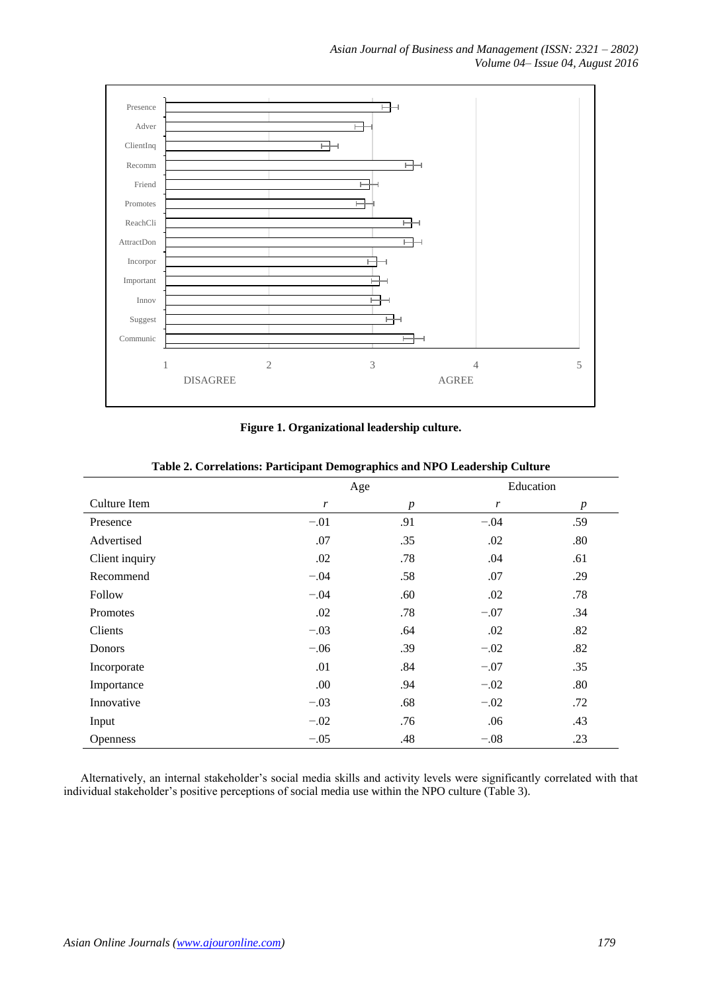

## **Figure 1. Organizational leadership culture.**

|                 | Age    |                  | Education |                  |
|-----------------|--------|------------------|-----------|------------------|
| Culture Item    | r      | $\boldsymbol{p}$ | r         | $\boldsymbol{p}$ |
| Presence        | $-.01$ | .91              | $-.04$    | .59              |
| Advertised      | .07    | .35              | .02       | .80              |
| Client inquiry  | .02    | .78              | .04       | .61              |
| Recommend       | $-.04$ | .58              | .07       | .29              |
| Follow          | $-.04$ | .60              | .02       | .78              |
| Promotes        | .02    | .78              | $-.07$    | .34              |
| Clients         | $-.03$ | .64              | .02       | .82              |
| Donors          | $-.06$ | .39              | $-.02$    | .82              |
| Incorporate     | .01    | .84              | $-.07$    | .35              |
| Importance      | .00    | .94              | $-.02$    | .80              |
| Innovative      | $-.03$ | .68              | $-.02$    | .72              |
| Input           | $-.02$ | .76              | .06       | .43              |
| <b>Openness</b> | $-.05$ | .48              | $-.08$    | .23              |

**Table 2. Correlations: Participant Demographics and NPO Leadership Culture**

Alternatively, an internal stakeholder's social media skills and activity levels were significantly correlated with that individual stakeholder's positive perceptions of social media use within the NPO culture (Table 3).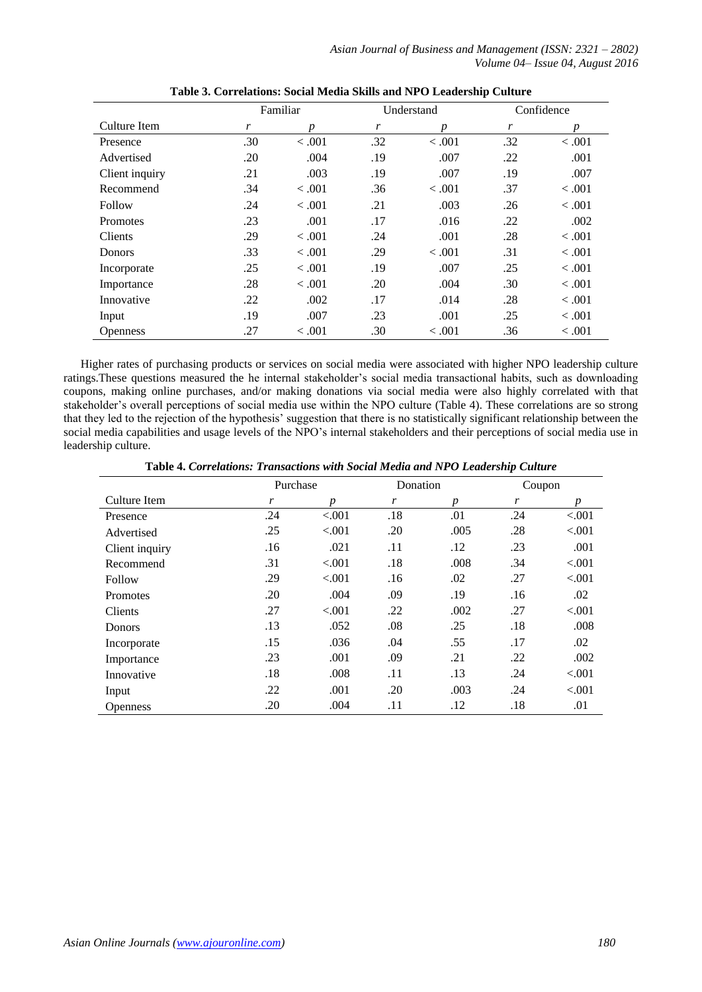*Asian Journal of Business and Management (ISSN: 2321 – 2802) Volume 04– Issue 04, August 2016*

|                 | Familiar |                  |     | Understand | Confidence |         |  |
|-----------------|----------|------------------|-----|------------|------------|---------|--|
| Culture Item    | r        | $\boldsymbol{p}$ | r   | p          | r          | p       |  |
| Presence        | .30      | < 0.001          | .32 | < 0.001    | .32        | < .001  |  |
| Advertised      | .20      | .004             | .19 | .007       | .22        | .001    |  |
| Client inquiry  | .21      | .003             | .19 | .007       | .19        | .007    |  |
| Recommend       | .34      | < 0.001          | .36 | $-.001$    | .37        | < 0.001 |  |
| Follow          | .24      | < 0.001          | .21 | .003       | .26        | < 0.001 |  |
| <b>Promotes</b> | .23      | .001             | .17 | .016       | .22        | .002    |  |
| <b>Clients</b>  | .29      | < 0.001          | .24 | .001       | .28        | < 0.001 |  |
| Donors          | .33      | < 0.001          | .29 | $-.001$    | .31        | < 0.001 |  |
| Incorporate     | .25      | $-.001$          | .19 | .007       | .25        | < 0.001 |  |
| Importance      | .28      | < 0.001          | .20 | .004       | .30        | < 0.001 |  |
| Innovative      | .22      | .002             | .17 | .014       | .28        | < 0.001 |  |
| Input           | .19      | .007             | .23 | .001       | .25        | < 0.001 |  |
| <b>Openness</b> | .27      | < 0.001          | .30 | < 0.001    | .36        | < 0.001 |  |

|  | Table 3. Correlations: Social Media Skills and NPO Leadership Culture |  |  |  |  |  |
|--|-----------------------------------------------------------------------|--|--|--|--|--|
|--|-----------------------------------------------------------------------|--|--|--|--|--|

Higher rates of purchasing products or services on social media were associated with higher NPO leadership culture ratings.These questions measured the he internal stakeholder's social media transactional habits, such as downloading coupons, making online purchases, and/or making donations via social media were also highly correlated with that stakeholder's overall perceptions of social media use within the NPO culture (Table 4). These correlations are so strong that they led to the rejection of the hypothesis' suggestion that there is no statistically significant relationship between the social media capabilities and usage levels of the NPO's internal stakeholders and their perceptions of social media use in leadership culture.

**Table 4.** *Correlations: Transactions with Social Media and NPO Leadership Culture*

|                 | Purchase |                  | Donation |                  | Coupon |         |
|-----------------|----------|------------------|----------|------------------|--------|---------|
| Culture Item    | r        | $\boldsymbol{p}$ | r        | $\boldsymbol{p}$ | r      | p       |
| Presence        | .24      | < 0.001          | .18      | .01              | .24    | < 0.001 |
| Advertised      | .25      | < 0.001          | .20      | .005             | .28    | < 0.001 |
| Client inquiry  | .16      | .021             | .11      | .12              | .23    | .001    |
| Recommend       | .31      | < 0.001          | .18      | .008             | .34    | < 0.001 |
| Follow          | .29      | < 0.001          | .16      | .02              | .27    | < .001  |
| <b>Promotes</b> | .20      | .004             | .09      | .19              | .16    | .02     |
| Clients         | .27      | < .001           | .22      | .002             | .27    | < 0.001 |
| Donors          | .13      | .052             | .08      | .25              | .18    | .008    |
| Incorporate     | .15      | .036             | .04      | .55              | .17    | .02     |
| Importance      | .23      | .001             | .09      | .21              | .22    | .002    |
| Innovative      | .18      | .008             | .11      | .13              | .24    | < 0.001 |
| Input           | .22      | .001             | .20      | .003             | .24    | < 0.001 |
| <b>Openness</b> | .20      | .004             | .11      | .12              | .18    | .01     |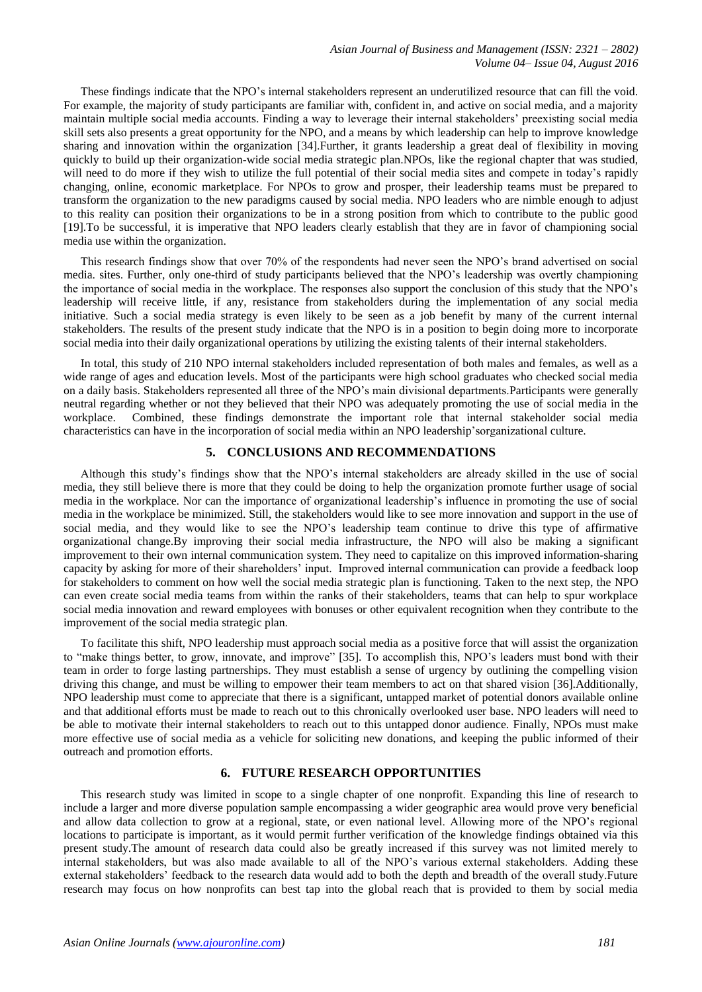These findings indicate that the NPO's internal stakeholders represent an underutilized resource that can fill the void. For example, the majority of study participants are familiar with, confident in, and active on social media, and a majority maintain multiple social media accounts. Finding a way to leverage their internal stakeholders' preexisting social media skill sets also presents a great opportunity for the NPO, and a means by which leadership can help to improve knowledge sharing and innovation within the organization [34].Further, it grants leadership a great deal of flexibility in moving quickly to build up their organization-wide social media strategic plan.NPOs, like the regional chapter that was studied, will need to do more if they wish to utilize the full potential of their social media sites and compete in today's rapidly changing, online, economic marketplace. For NPOs to grow and prosper, their leadership teams must be prepared to transform the organization to the new paradigms caused by social media. NPO leaders who are nimble enough to adjust to this reality can position their organizations to be in a strong position from which to contribute to the public good [19].To be successful, it is imperative that NPO leaders clearly establish that they are in favor of championing social media use within the organization.

This research findings show that over 70% of the respondents had never seen the NPO's brand advertised on social media. sites. Further, only one-third of study participants believed that the NPO's leadership was overtly championing the importance of social media in the workplace. The responses also support the conclusion of this study that the NPO's leadership will receive little, if any, resistance from stakeholders during the implementation of any social media initiative. Such a social media strategy is even likely to be seen as a job benefit by many of the current internal stakeholders. The results of the present study indicate that the NPO is in a position to begin doing more to incorporate social media into their daily organizational operations by utilizing the existing talents of their internal stakeholders.

In total, this study of 210 NPO internal stakeholders included representation of both males and females, as well as a wide range of ages and education levels. Most of the participants were high school graduates who checked social media on a daily basis. Stakeholders represented all three of the NPO's main divisional departments.Participants were generally neutral regarding whether or not they believed that their NPO was adequately promoting the use of social media in the workplace. Combined, these findings demonstrate the important role that internal stakeholder social media characteristics can have in the incorporation of social media within an NPO leadership'sorganizational culture.

#### **5. CONCLUSIONS AND RECOMMENDATIONS**

Although this study's findings show that the NPO's internal stakeholders are already skilled in the use of social media, they still believe there is more that they could be doing to help the organization promote further usage of social media in the workplace. Nor can the importance of organizational leadership's influence in promoting the use of social media in the workplace be minimized. Still, the stakeholders would like to see more innovation and support in the use of social media, and they would like to see the NPO's leadership team continue to drive this type of affirmative organizational change.By improving their social media infrastructure, the NPO will also be making a significant improvement to their own internal communication system. They need to capitalize on this improved information-sharing capacity by asking for more of their shareholders' input. Improved internal communication can provide a feedback loop for stakeholders to comment on how well the social media strategic plan is functioning. Taken to the next step, the NPO can even create social media teams from within the ranks of their stakeholders, teams that can help to spur workplace social media innovation and reward employees with bonuses or other equivalent recognition when they contribute to the improvement of the social media strategic plan.

To facilitate this shift, NPO leadership must approach social media as a positive force that will assist the organization to "make things better, to grow, innovate, and improve" [35]. To accomplish this, NPO's leaders must bond with their team in order to forge lasting partnerships. They must establish a sense of urgency by outlining the compelling vision driving this change, and must be willing to empower their team members to act on that shared vision [36].Additionally, NPO leadership must come to appreciate that there is a significant, untapped market of potential donors available online and that additional efforts must be made to reach out to this chronically overlooked user base. NPO leaders will need to be able to motivate their internal stakeholders to reach out to this untapped donor audience. Finally, NPOs must make more effective use of social media as a vehicle for soliciting new donations, and keeping the public informed of their outreach and promotion efforts.

#### **6. FUTURE RESEARCH OPPORTUNITIES**

This research study was limited in scope to a single chapter of one nonprofit. Expanding this line of research to include a larger and more diverse population sample encompassing a wider geographic area would prove very beneficial and allow data collection to grow at a regional, state, or even national level. Allowing more of the NPO's regional locations to participate is important, as it would permit further verification of the knowledge findings obtained via this present study.The amount of research data could also be greatly increased if this survey was not limited merely to internal stakeholders, but was also made available to all of the NPO's various external stakeholders. Adding these external stakeholders' feedback to the research data would add to both the depth and breadth of the overall study.Future research may focus on how nonprofits can best tap into the global reach that is provided to them by social media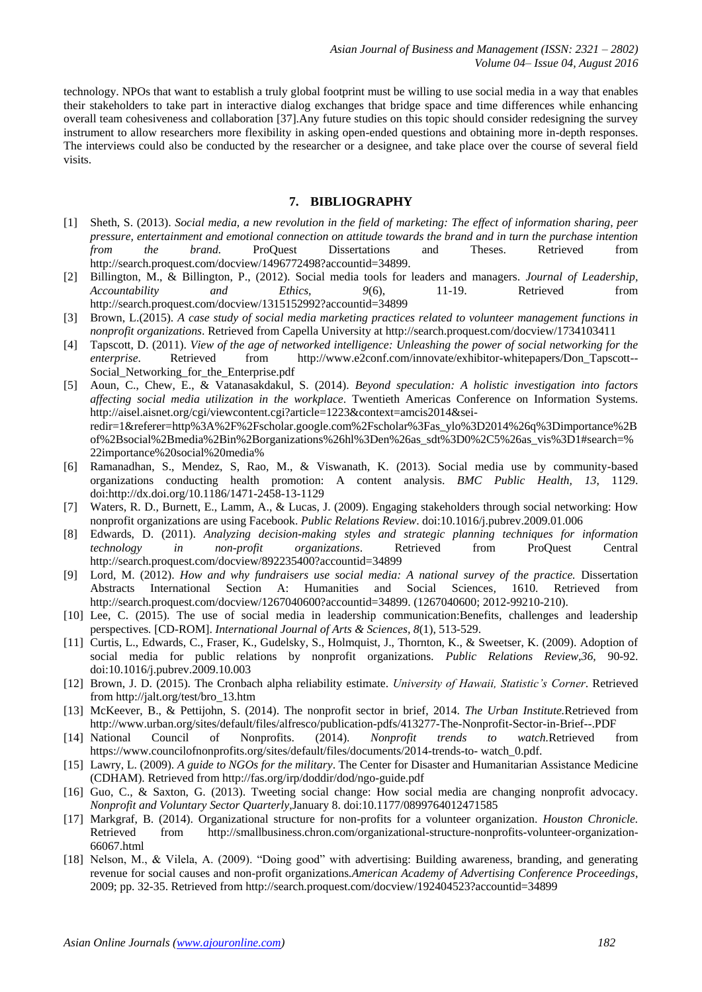technology. NPOs that want to establish a truly global footprint must be willing to use social media in a way that enables their stakeholders to take part in interactive dialog exchanges that bridge space and time differences while enhancing overall team cohesiveness and collaboration [37].Any future studies on this topic should consider redesigning the survey instrument to allow researchers more flexibility in asking open-ended questions and obtaining more in-depth responses. The interviews could also be conducted by the researcher or a designee, and take place over the course of several field visits.

## **7. BIBLIOGRAPHY**

- [1] Sheth, S. (2013). *Social media, a new revolution in the field of marketing: The effect of information sharing, peer pressure, entertainment and emotional connection on attitude towards the brand and in turn the purchase intention from the brand.* ProQuest Dissertations and Theses. Retrieved from http://search.proquest.com/docview/1496772498?accountid=34899.
- [2] Billington, M., & Billington, P., (2012). Social media tools for leaders and managers. *Journal of Leadership, Accountability and Ethics, 9*(6), 11-19. Retrieved from http://search.proquest.com/docview/1315152992?accountid=34899
- [3] Brown, L.(2015). *A case study of social media marketing practices related to volunteer management functions in nonprofit organizations*. Retrieved from Capella University at http://search.proquest.com/docview/1734103411
- [4] Tapscott, D. (2011). *View of the age of networked intelligence: Unleashing the power of social networking for the enterprise*. Retrieved from http://www.e2conf.com/innovate/exhibitor-whitepapers/Don Tapscott--Social Networking for the Enterprise.pdf
- [5] Aoun, C., Chew, E., & Vatanasakdakul, S. (2014). *Beyond speculation: A holistic investigation into factors affecting social media utilization in the workplace*. Twentieth Americas Conference on Information Systems. http://aisel.aisnet.org/cgi/viewcontent.cgi?article=1223&context=amcis2014&seiredir=1&referer=http%3A%2F%2Fscholar.google.com%2Fscholar%3Fas\_ylo%3D2014%26q%3Dimportance%2B of%2Bsocial%2Bmedia%2Bin%2Borganizations%26hl%3Den%26as\_sdt%3D0%2C5%26as\_vis%3D1#search=% 22importance%20social%20media%
- [6] Ramanadhan, S., Mendez, S, Rao, M., & Viswanath, K. (2013). Social media use by community-based organizations conducting health promotion: A content analysis. *BMC Public Health, 13*, 1129. doi:http://dx.doi.org/10.1186/1471-2458-13-1129
- [7] Waters, R. D., Burnett, E., Lamm, A., & Lucas, J. (2009). Engaging stakeholders through social networking: How nonprofit organizations are using Facebook. *Public Relations Review*. doi:10.1016/j.pubrev.2009.01.006
- [8] Edwards, D. (2011). *Analyzing decision-making styles and strategic planning techniques for information technology in non-profit organizations*. Retrieved from ProQuest Central http://search.proquest.com/docview/892235400?accountid=34899
- [9] Lord, M. (2012). *How and why fundraisers use social media: A national survey of the practice.* Dissertation Abstracts International Section A: Humanities and Social Sciences*,* 1610. Retrieved from http://search.proquest.com/docview/1267040600?accountid=34899. (1267040600; 2012-99210-210).
- [10] Lee, C. (2015). The use of social media in leadership communication:Benefits, challenges and leadership perspectives*.* [CD-ROM]. *International Journal of Arts & Sciences, 8*(1), 513-529.
- [11] Curtis, L., Edwards, C., Fraser, K., Gudelsky, S., Holmquist, J., Thornton, K., & Sweetser, K. (2009). Adoption of social media for public relations by nonprofit organizations*. Public Relations Review,36,* 90-92. doi:10.1016/j.pubrev.2009.10.003
- [12] Brown, J. D. (2015). The Cronbach alpha reliability estimate. *University of Hawaii, Statistic's Corner*. Retrieved from http://jalt.org/test/bro\_13.htm
- [13] McKeever, B., & Pettijohn, S. (2014). The nonprofit sector in brief, 2014. *The Urban Institute.*Retrieved from http://www.urban.org/sites/default/files/alfresco/publication-pdfs/413277-The-Nonprofit-Sector-in-Brief--.PDF
- [14] National Council of Nonprofits. (2014). *Nonprofit trends to watch.*Retrieved from https://www.councilofnonprofits.org/sites/default/files/documents/2014-trends-to- watch\_0.pdf.
- [15] Lawry, L. (2009). *A guide to NGOs for the military*. The Center for Disaster and Humanitarian Assistance Medicine (CDHAM). Retrieved from http://fas.org/irp/doddir/dod/ngo-guide.pdf
- [16] Guo, C., & Saxton, G. (2013). Tweeting social change: How social media are changing nonprofit advocacy. *Nonprofit and Voluntary Sector Quarterly*,January 8. doi:10.1177/0899764012471585
- [17] Markgraf, B. (2014). Organizational structure for non-profits for a volunteer organization. *Houston Chronicle.*  Retrieved from http://smallbusiness.chron.com/organizational-structure-nonprofits-volunteer-organization-66067.html
- [18] Nelson, M., & Vilela, A. (2009). "Doing good" with advertising: Building awareness, branding, and generating revenue for social causes and non-profit organizations*.American Academy of Advertising Conference Proceedings*, 2009; pp. 32-35. Retrieved from http://search.proquest.com/docview/192404523?accountid=34899